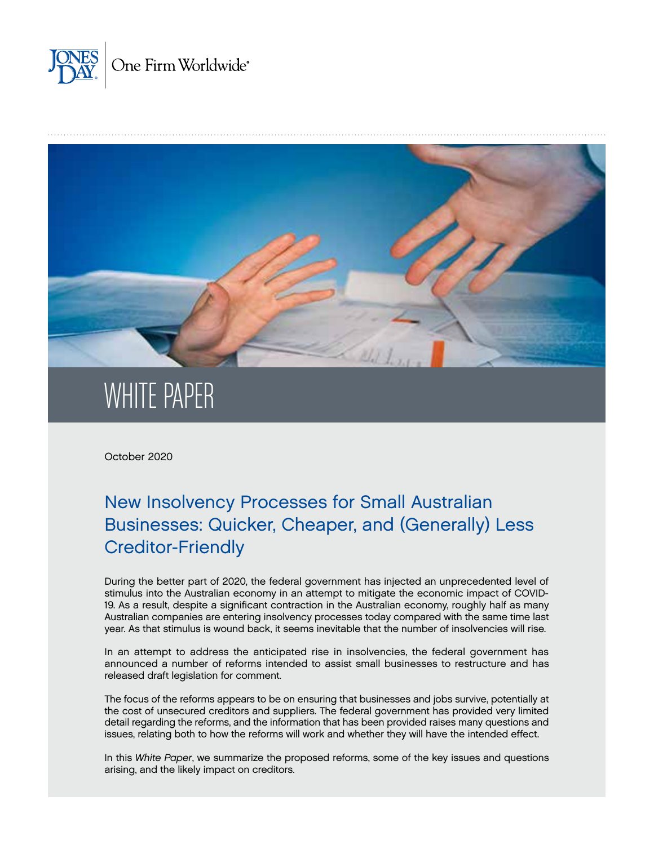



# WHITE PAPER

October 2020

# New Insolvency Processes for Small Australian Businesses: Quicker, Cheaper, and (Generally) Less Creditor-Friendly

During the better part of 2020, the federal government has injected an unprecedented level of stimulus into the Australian economy in an attempt to mitigate the economic impact of COVID-19. As a result, despite a significant contraction in the Australian economy, roughly half as many Australian companies are entering insolvency processes today compared with the same time last year. As that stimulus is wound back, it seems inevitable that the number of insolvencies will rise.

In an attempt to address the anticipated rise in insolvencies, the federal government has announced a number of reforms intended to assist small businesses to restructure and has released draft legislation for comment.

The focus of the reforms appears to be on ensuring that businesses and jobs survive, potentially at the cost of unsecured creditors and suppliers. The federal government has provided very limited detail regarding the reforms, and the information that has been provided raises many questions and issues, relating both to how the reforms will work and whether they will have the intended effect.

In this *White Paper*, we summarize the proposed reforms, some of the key issues and questions arising, and the likely impact on creditors.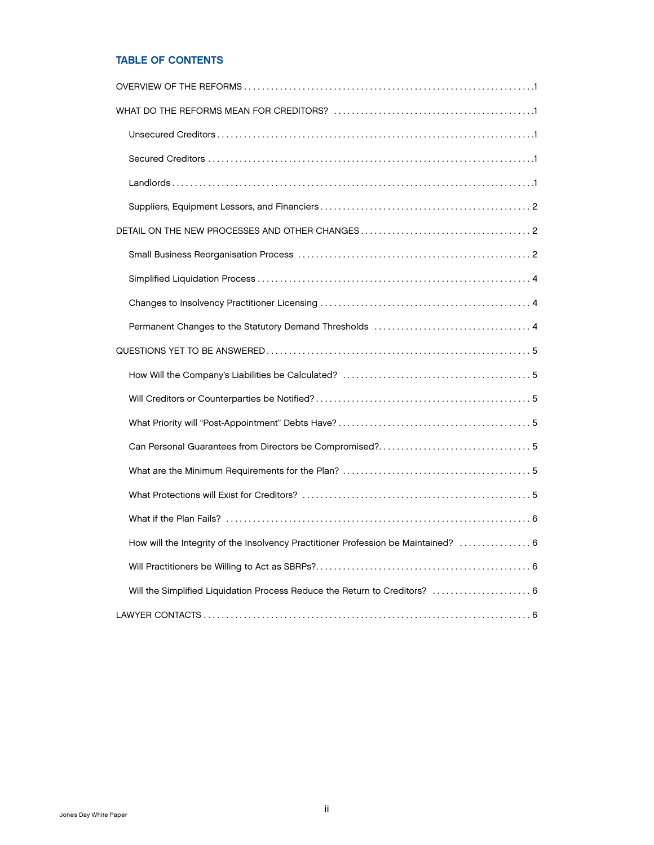## TABLE OF CONTENTS

| How will the Integrity of the Insolvency Practitioner Profession be Maintained?  6 |  |  |  |  |
|------------------------------------------------------------------------------------|--|--|--|--|
|                                                                                    |  |  |  |  |
| Will the Simplified Liquidation Process Reduce the Return to Creditors?  6         |  |  |  |  |
|                                                                                    |  |  |  |  |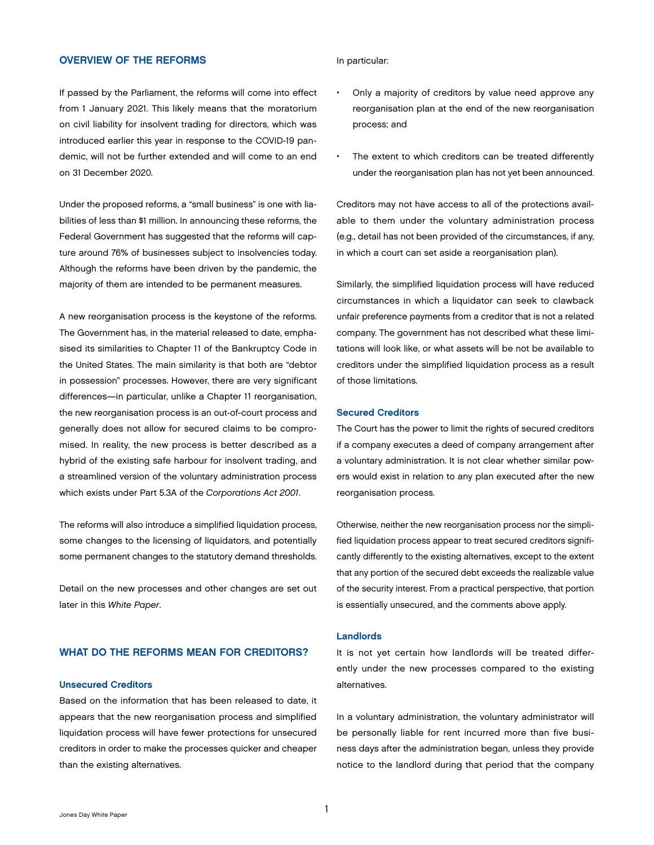## <span id="page-2-0"></span>OVERVIEW OF THE REFORMS

If passed by the Parliament, the reforms will come into effect from 1 January 2021. This likely means that the moratorium on civil liability for insolvent trading for directors, which was introduced earlier this year in response to the COVID-19 pandemic, will not be further extended and will come to an end on 31 December 2020.

Under the proposed reforms, a "small business" is one with liabilities of less than \$1 million. In announcing these reforms, the Federal Government has suggested that the reforms will capture around 76% of businesses subject to insolvencies today. Although the reforms have been driven by the pandemic, the majority of them are intended to be permanent measures.

A new reorganisation process is the keystone of the reforms. The Government has, in the material released to date, emphasised its similarities to Chapter 11 of the Bankruptcy Code in the United States. The main similarity is that both are "debtor in possession" processes. However, there are very significant differences—in particular, unlike a Chapter 11 reorganisation, the new reorganisation process is an out-of-court process and generally does not allow for secured claims to be compromised. In reality, the new process is better described as a hybrid of the existing safe harbour for insolvent trading, and a streamlined version of the voluntary administration process which exists under Part 5.3A of the *Corporations Act 2001*.

The reforms will also introduce a simplified liquidation process, some changes to the licensing of liquidators, and potentially some permanent changes to the statutory demand thresholds.

Detail on the new processes and other changes are set out later in this *White Paper*.

## WHAT DO THE REFORMS MEAN FOR CREDITORS?

## Unsecured Creditors

Based on the information that has been released to date, it appears that the new reorganisation process and simplified liquidation process will have fewer protections for unsecured creditors in order to make the processes quicker and cheaper than the existing alternatives.

In particular:

- Only a majority of creditors by value need approve any reorganisation plan at the end of the new reorganisation process; and
- The extent to which creditors can be treated differently under the reorganisation plan has not yet been announced.

Creditors may not have access to all of the protections available to them under the voluntary administration process (e.g., detail has not been provided of the circumstances, if any, in which a court can set aside a reorganisation plan).

Similarly, the simplified liquidation process will have reduced circumstances in which a liquidator can seek to clawback unfair preference payments from a creditor that is not a related company. The government has not described what these limitations will look like, or what assets will be not be available to creditors under the simplified liquidation process as a result of those limitations.

## Secured Creditors

The Court has the power to limit the rights of secured creditors if a company executes a deed of company arrangement after a voluntary administration. It is not clear whether similar powers would exist in relation to any plan executed after the new reorganisation process.

Otherwise, neither the new reorganisation process nor the simplified liquidation process appear to treat secured creditors significantly differently to the existing alternatives, except to the extent that any portion of the secured debt exceeds the realizable value of the security interest. From a practical perspective, that portion is essentially unsecured, and the comments above apply.

## Landlords

It is not yet certain how landlords will be treated differently under the new processes compared to the existing alternatives.

In a voluntary administration, the voluntary administrator will be personally liable for rent incurred more than five business days after the administration began, unless they provide notice to the landlord during that period that the company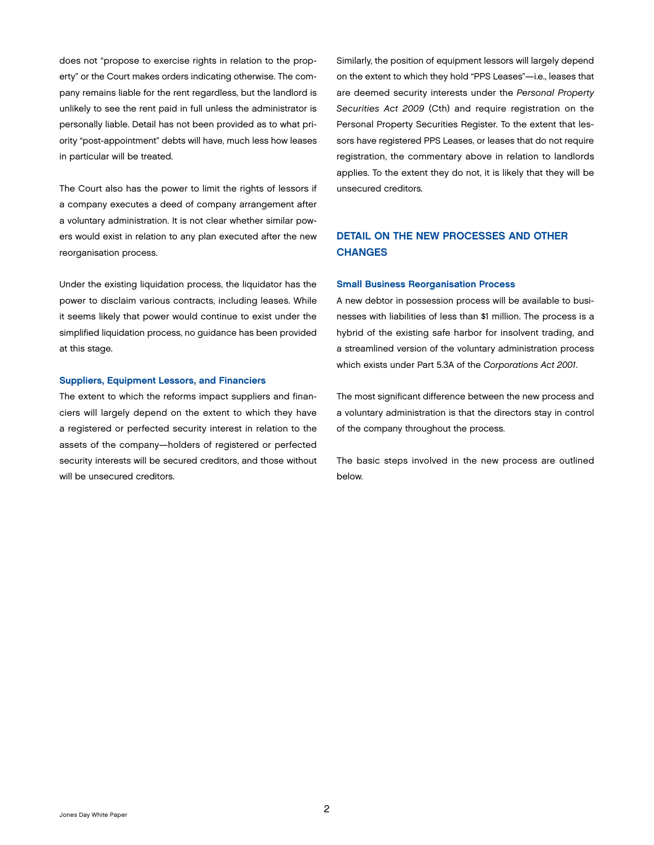<span id="page-3-0"></span>does not "propose to exercise rights in relation to the property" or the Court makes orders indicating otherwise. The company remains liable for the rent regardless, but the landlord is unlikely to see the rent paid in full unless the administrator is personally liable. Detail has not been provided as to what priority "post-appointment" debts will have, much less how leases in particular will be treated.

The Court also has the power to limit the rights of lessors if a company executes a deed of company arrangement after a voluntary administration. It is not clear whether similar powers would exist in relation to any plan executed after the new reorganisation process.

Under the existing liquidation process, the liquidator has the power to disclaim various contracts, including leases. While it seems likely that power would continue to exist under the simplified liquidation process, no guidance has been provided at this stage.

## Suppliers, Equipment Lessors, and Financiers

The extent to which the reforms impact suppliers and financiers will largely depend on the extent to which they have a registered or perfected security interest in relation to the assets of the company—holders of registered or perfected security interests will be secured creditors, and those without will be unsecured creditors.

Similarly, the position of equipment lessors will largely depend on the extent to which they hold "PPS Leases"—i.e., leases that are deemed security interests under the *Personal Property Securities Act 2009* (Cth) and require registration on the Personal Property Securities Register. To the extent that lessors have registered PPS Leases, or leases that do not require registration, the commentary above in relation to landlords applies. To the extent they do not, it is likely that they will be unsecured creditors.

## DETAIL ON THE NEW PROCESSES AND OTHER **CHANGES**

## Small Business Reorganisation Process

A new debtor in possession process will be available to businesses with liabilities of less than \$1 million. The process is a hybrid of the existing safe harbor for insolvent trading, and a streamlined version of the voluntary administration process which exists under Part 5.3A of the *Corporations Act 2001*.

The most significant difference between the new process and a voluntary administration is that the directors stay in control of the company throughout the process.

The basic steps involved in the new process are outlined below.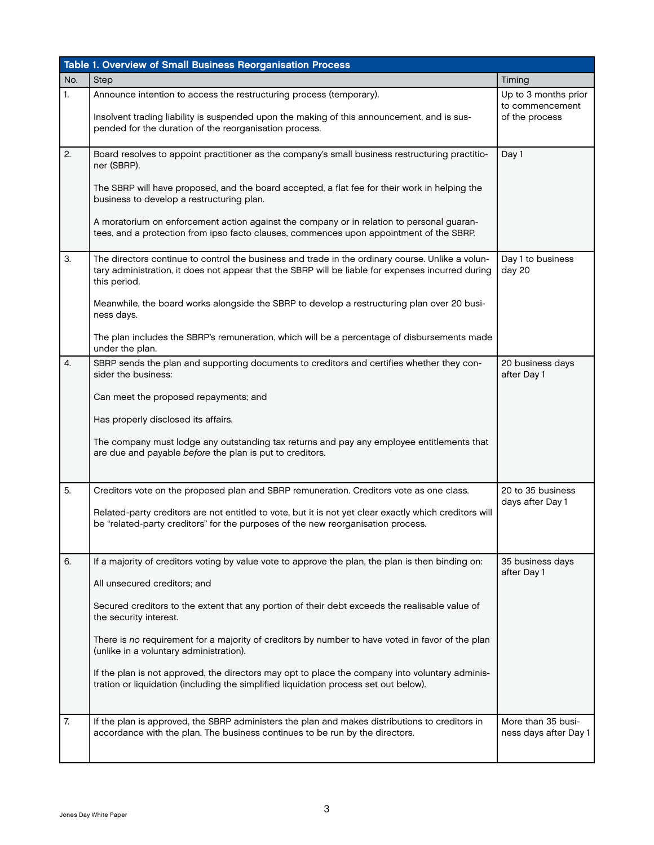|                  | Table 1. Overview of Small Business Reorganisation Process                                                                                                                                                                                                                                                                                                                                                                                                                                                                                                                                              |                                                           |  |  |
|------------------|---------------------------------------------------------------------------------------------------------------------------------------------------------------------------------------------------------------------------------------------------------------------------------------------------------------------------------------------------------------------------------------------------------------------------------------------------------------------------------------------------------------------------------------------------------------------------------------------------------|-----------------------------------------------------------|--|--|
| No.              | Step                                                                                                                                                                                                                                                                                                                                                                                                                                                                                                                                                                                                    | Timing                                                    |  |  |
| 1.               | Announce intention to access the restructuring process (temporary).<br>Insolvent trading liability is suspended upon the making of this announcement, and is sus-<br>pended for the duration of the reorganisation process.                                                                                                                                                                                                                                                                                                                                                                             | Up to 3 months prior<br>to commencement<br>of the process |  |  |
| 2.               | Board resolves to appoint practitioner as the company's small business restructuring practitio-<br>ner (SBRP).<br>The SBRP will have proposed, and the board accepted, a flat fee for their work in helping the<br>business to develop a restructuring plan.<br>A moratorium on enforcement action against the company or in relation to personal guaran-<br>tees, and a protection from ipso facto clauses, commences upon appointment of the SBRP.                                                                                                                                                    | Day 1                                                     |  |  |
| 3.               | The directors continue to control the business and trade in the ordinary course. Unlike a volun-<br>tary administration, it does not appear that the SBRP will be liable for expenses incurred during<br>this period.<br>Meanwhile, the board works alongside the SBRP to develop a restructuring plan over 20 busi-<br>ness days.<br>The plan includes the SBRP's remuneration, which will be a percentage of disbursements made<br>under the plan.                                                                                                                                                    | Day 1 to business<br>day 20                               |  |  |
| $\overline{4}$ . | SBRP sends the plan and supporting documents to creditors and certifies whether they con-<br>sider the business:<br>Can meet the proposed repayments; and<br>Has properly disclosed its affairs.<br>The company must lodge any outstanding tax returns and pay any employee entitlements that<br>are due and payable before the plan is put to creditors.                                                                                                                                                                                                                                               | 20 business days<br>after Day 1                           |  |  |
| 5.               | Creditors vote on the proposed plan and SBRP remuneration. Creditors vote as one class.<br>Related-party creditors are not entitled to vote, but it is not yet clear exactly which creditors will<br>be "related-party creditors" for the purposes of the new reorganisation process.                                                                                                                                                                                                                                                                                                                   | 20 to 35 business<br>days after Day 1                     |  |  |
| 6.               | If a majority of creditors voting by value vote to approve the plan, the plan is then binding on:<br>All unsecured creditors; and<br>Secured creditors to the extent that any portion of their debt exceeds the realisable value of<br>the security interest.<br>There is no requirement for a majority of creditors by number to have voted in favor of the plan<br>(unlike in a voluntary administration).<br>If the plan is not approved, the directors may opt to place the company into voluntary adminis-<br>tration or liquidation (including the simplified liquidation process set out below). | 35 business days<br>after Day 1                           |  |  |
| 7.               | If the plan is approved, the SBRP administers the plan and makes distributions to creditors in<br>accordance with the plan. The business continues to be run by the directors.                                                                                                                                                                                                                                                                                                                                                                                                                          | More than 35 busi-<br>ness days after Day 1               |  |  |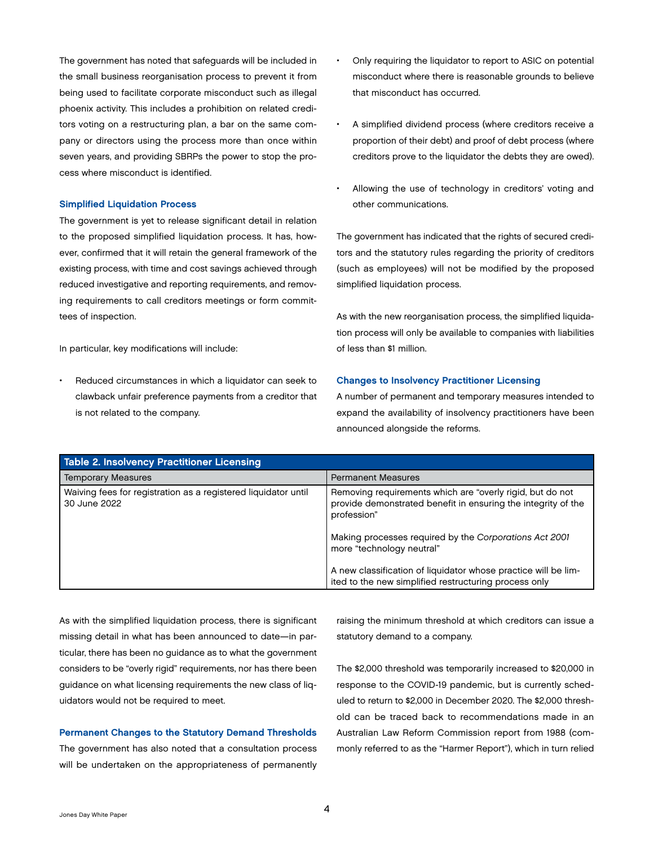<span id="page-5-0"></span>The government has noted that safeguards will be included in the small business reorganisation process to prevent it from being used to facilitate corporate misconduct such as illegal phoenix activity. This includes a prohibition on related creditors voting on a restructuring plan, a bar on the same company or directors using the process more than once within seven years, and providing SBRPs the power to stop the process where misconduct is identified.

## Simplified Liquidation Process

The government is yet to release significant detail in relation to the proposed simplified liquidation process. It has, however, confirmed that it will retain the general framework of the existing process, with time and cost savings achieved through reduced investigative and reporting requirements, and removing requirements to call creditors meetings or form committees of inspection.

In particular, key modifications will include:

Reduced circumstances in which a liquidator can seek to clawback unfair preference payments from a creditor that is not related to the company.

- Only requiring the liquidator to report to ASIC on potential misconduct where there is reasonable grounds to believe that misconduct has occurred.
- A simplified dividend process (where creditors receive a proportion of their debt) and proof of debt process (where creditors prove to the liquidator the debts they are owed).
- Allowing the use of technology in creditors' voting and other communications.

The government has indicated that the rights of secured creditors and the statutory rules regarding the priority of creditors (such as employees) will not be modified by the proposed simplified liquidation process.

As with the new reorganisation process, the simplified liquidation process will only be available to companies with liabilities of less than \$1 million.

## Changes to Insolvency Practitioner Licensing

A number of permanent and temporary measures intended to expand the availability of insolvency practitioners have been announced alongside the reforms.

| <b>Table 2. Insolvency Practitioner Licensing</b>                              |                                                                                                                                           |  |  |
|--------------------------------------------------------------------------------|-------------------------------------------------------------------------------------------------------------------------------------------|--|--|
| <b>Temporary Measures</b>                                                      | <b>Permanent Measures</b>                                                                                                                 |  |  |
| Waiving fees for registration as a registered liquidator until<br>30 June 2022 | Removing requirements which are "overly rigid, but do not<br>provide demonstrated benefit in ensuring the integrity of the<br>profession" |  |  |
|                                                                                | Making processes required by the Corporations Act 2001<br>more "technology neutral"                                                       |  |  |
|                                                                                | A new classification of liquidator whose practice will be lim-<br>ited to the new simplified restructuring process only                   |  |  |

As with the simplified liquidation process, there is significant missing detail in what has been announced to date—in particular, there has been no guidance as to what the government considers to be "overly rigid" requirements, nor has there been guidance on what licensing requirements the new class of liquidators would not be required to meet.

## Permanent Changes to the Statutory Demand Thresholds

The government has also noted that a consultation process will be undertaken on the appropriateness of permanently raising the minimum threshold at which creditors can issue a statutory demand to a company.

The \$2,000 threshold was temporarily increased to \$20,000 in response to the COVID-19 pandemic, but is currently scheduled to return to \$2,000 in December 2020. The \$2,000 threshold can be traced back to recommendations made in an Australian Law Reform Commission report from 1988 (commonly referred to as the "Harmer Report"), which in turn relied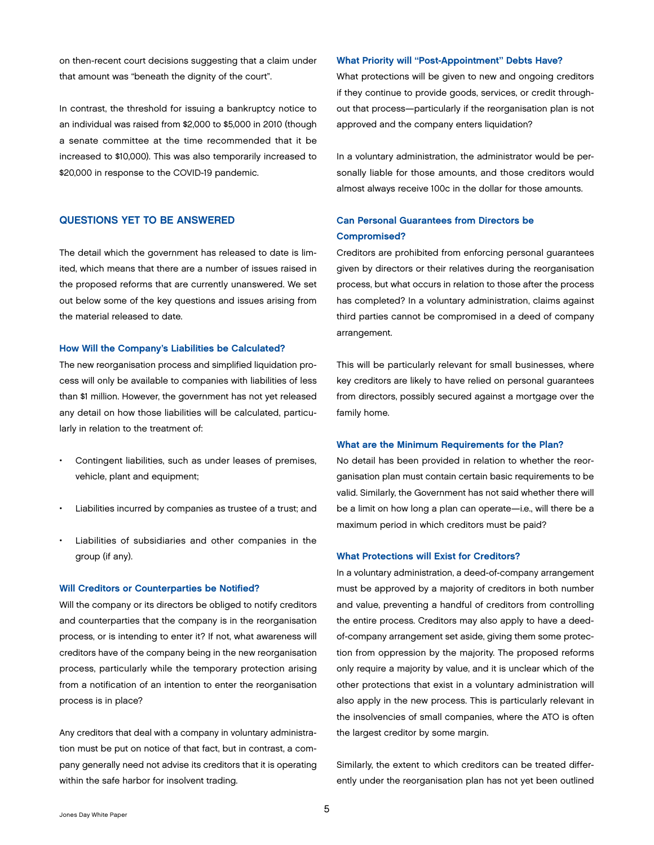<span id="page-6-0"></span>on then-recent court decisions suggesting that a claim under that amount was "beneath the dignity of the court".

In contrast, the threshold for issuing a bankruptcy notice to an individual was raised from \$2,000 to \$5,000 in 2010 (though a senate committee at the time recommended that it be increased to \$10,000). This was also temporarily increased to \$20,000 in response to the COVID-19 pandemic.

## QUESTIONS YET TO BE ANSWERED

The detail which the government has released to date is limited, which means that there are a number of issues raised in the proposed reforms that are currently unanswered. We set out below some of the key questions and issues arising from the material released to date.

## How Will the Company's Liabilities be Calculated?

The new reorganisation process and simplified liquidation process will only be available to companies with liabilities of less than \$1 million. However, the government has not yet released any detail on how those liabilities will be calculated, particularly in relation to the treatment of:

- Contingent liabilities, such as under leases of premises, vehicle, plant and equipment;
- Liabilities incurred by companies as trustee of a trust; and
- Liabilities of subsidiaries and other companies in the group (if any).

## Will Creditors or Counterparties be Notified?

Will the company or its directors be obliged to notify creditors and counterparties that the company is in the reorganisation process, or is intending to enter it? If not, what awareness will creditors have of the company being in the new reorganisation process, particularly while the temporary protection arising from a notification of an intention to enter the reorganisation process is in place?

Any creditors that deal with a company in voluntary administration must be put on notice of that fact, but in contrast, a company generally need not advise its creditors that it is operating within the safe harbor for insolvent trading.

## What Priority will "Post-Appointment" Debts Have?

What protections will be given to new and ongoing creditors if they continue to provide goods, services, or credit throughout that process—particularly if the reorganisation plan is not approved and the company enters liquidation?

In a voluntary administration, the administrator would be personally liable for those amounts, and those creditors would almost always receive 100c in the dollar for those amounts.

## Can Personal Guarantees from Directors be Compromised?

Creditors are prohibited from enforcing personal guarantees given by directors or their relatives during the reorganisation process, but what occurs in relation to those after the process has completed? In a voluntary administration, claims against third parties cannot be compromised in a deed of company arrangement.

This will be particularly relevant for small businesses, where key creditors are likely to have relied on personal guarantees from directors, possibly secured against a mortgage over the family home.

#### What are the Minimum Requirements for the Plan?

No detail has been provided in relation to whether the reorganisation plan must contain certain basic requirements to be valid. Similarly, the Government has not said whether there will be a limit on how long a plan can operate—i.e., will there be a maximum period in which creditors must be paid?

## What Protections will Exist for Creditors?

In a voluntary administration, a deed-of-company arrangement must be approved by a majority of creditors in both number and value, preventing a handful of creditors from controlling the entire process. Creditors may also apply to have a deedof-company arrangement set aside, giving them some protection from oppression by the majority. The proposed reforms only require a majority by value, and it is unclear which of the other protections that exist in a voluntary administration will also apply in the new process. This is particularly relevant in the insolvencies of small companies, where the ATO is often the largest creditor by some margin.

Similarly, the extent to which creditors can be treated differently under the reorganisation plan has not yet been outlined